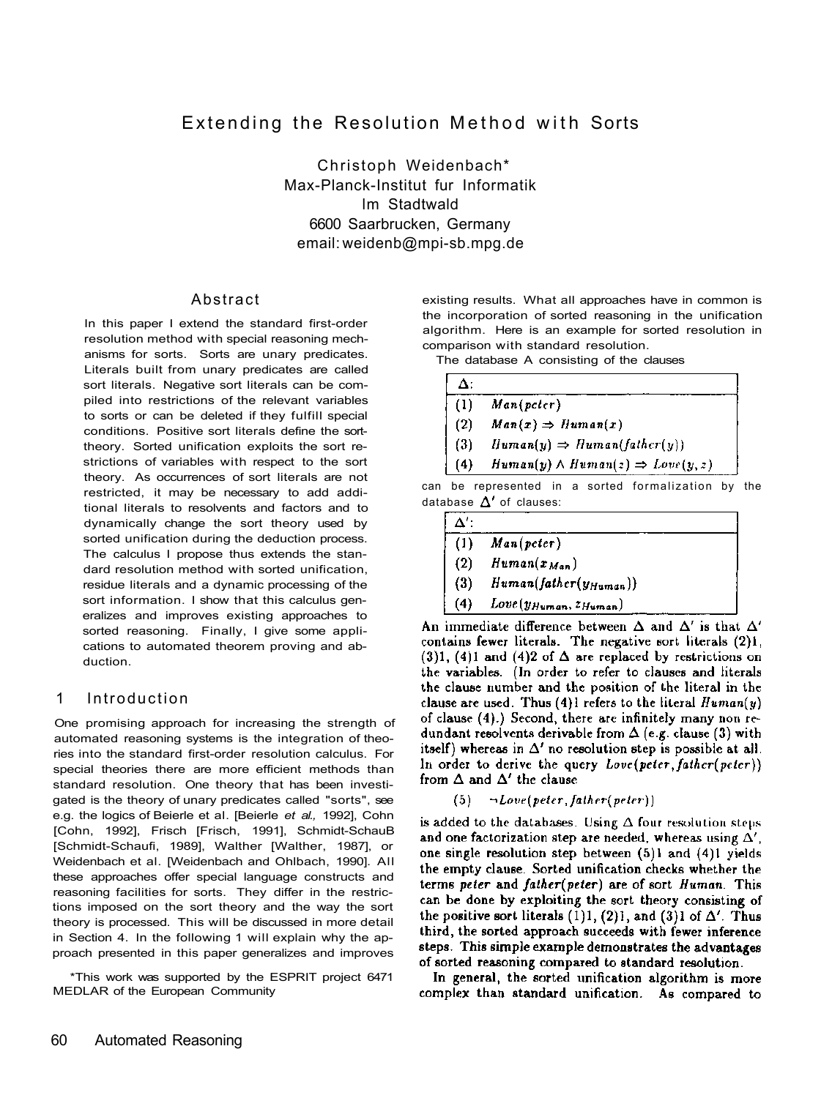# Extending the Resolution Method with Sorts

Christoph Weidenbach\* Max-Planck-Institut fur Informatik lm Stadtwald 6600 Saarbrucken, Germany email: weidenb@mpi-sb.mpg.de

#### Abstract

In this paper I extend the standard first-order resolution method with special reasoning mechanisms for sorts. Sorts are unary predicates. Literals built from unary predicates are called sort literals. Negative sort literals can be compiled into restrictions of the relevant variables to sorts or can be deleted if they fulfill special conditions. Positive sort literals define the sorttheory. Sorted unification exploits the sort restrictions of variables with respect to the sort theory. As occurrences of sort literals are not restricted, it may be necessary to add additional literals to resolvents and factors and to dynamically change the sort theory used by sorted unification during the deduction process. The calculus I propose thus extends the standard resolution method with sorted unification, residue literals and a dynamic processing of the sort information. I show that this calculus generalizes and improves existing approaches to sorted reasoning. Finally, I give some applications to automated theorem proving and abduction.

### 1 Introduction

One promising approach for increasing the strength of automated reasoning systems is the integration of theories into the standard first-order resolution calculus. For special theories there are more efficient methods than standard resolution. One theory that has been investigated is the theory of unary predicates called "sorts", see e.g. the logics of Beierle et al. [Beierle *et al.,* 1992], Cohn [Cohn, 1992], Frisch [Frisch, 1991], Schmidt-SchauB [Schmidt-Schaufi, 1989], Walther [Walther, 1987], or Weidenbach et al. [Weidenbach and Ohlbach, 1990]. All these approaches offer special language constructs and reasoning facilities for sorts. They differ in the restrictions imposed on the sort theory and the way the sort theory is processed. This will be discussed in more detail in Section 4. In the following 1 will explain why the approach presented in this paper generalizes and improves

\*This work was supported by the ESPRIT project 6471 MEDLAR of the European Community

existing results. What all approaches have in common is the incorporation of sorted reasoning in the unification algorithm. Here is an example for sorted resolution in comparison with standard resolution.

The database A consisting of the clauses

| Δ:   |                                                   |
|------|---------------------------------------------------|
| -(1) | Man(peter)                                        |
| (2)  | $Man(x) \Rightarrow Human(x)$                     |
| (3)  | $Human(y) \Rightarrow Human(father(y))$           |
| (4)  | $Human(y) \wedge Human(z) \Rightarrow Love(y, z)$ |

can be represented in a sorted formalization by the database  $\Delta'$  of clauses:

| $\Lambda^{\prime}$ |                              |  |
|--------------------|------------------------------|--|
| (1)                | Man(peter)                   |  |
| (2)                | $H$ uman $(x_{Man})$         |  |
| (3)                | $Human(father(y_{Human}))$   |  |
| (4)                | $Love(y_{Human}, z_{Human})$ |  |

An immediate difference between  $\Delta$  and  $\Delta'$  is that  $\Delta'$ contains fewer literals. The negative sort literals (2)1. (3)1, (4)1 and (4)2 of  $\Delta$  are replaced by restrictions on the variables. (In order to refer to clauses and literals the clause number and the position of the literal in the clause are used. Thus (4)1 refers to the literal  $Human(y)$ of clause (4).) Second, there are infinitely many non redundant resolvents derivable from  $\Delta$  (e.g. clause (3) with itself) whereas in  $\Delta'$  no resolution step is possible at all. In order to derive the query  $Love(peer, father(peter))$ from  $\Delta$  and  $\Delta'$  the clause

$$
(5) \qquad \neg \textit{Love}(\textit{peter}, \textit{father}(\textit{peter}))
$$

is added to the databases. Using  $\Delta$  four resolution steps and one factorization step are needed, whereas using  $\Delta'$ , one single resolution step between (5)1 and (4)1 yields the empty clause. Sorted unification checks whether the terms peter and father(peter) are of sort Human. This can be done by exploiting the sort theory consisting of the positive sort literals (1)1, (2)1, and (3)1 of  $\Delta'$ . Thus third, the sorted approach succeeds with fewer inference steps. This simple example demonstrates the advantages of sorted reasoning compared to standard resolution.

In general, the sorted unification algorithm is more complex than standard unification. As compared to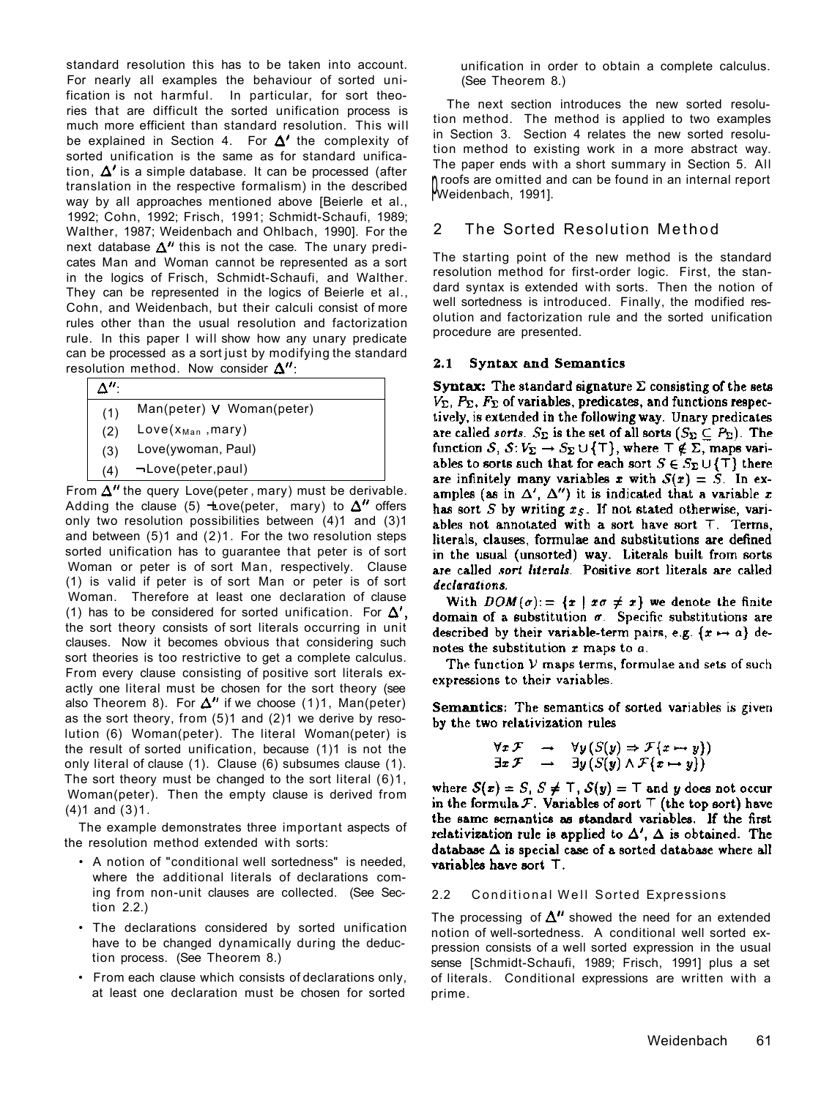standard resolution this has to be taken into account. For nearly all examples the behaviour of sorted unification is not harmful. In particular, for sort theories that are difficult the sorted unification process is much more efficient than standard resolution. This will be explained in Section 4. For  $\Delta'$  the complexity of sorted unification is the same as for standard unification,  $\Delta'$  is a simple database. It can be processed (after translation in the respective formalism) in the described way by all approaches mentioned above [Beierle et al., 1992; Cohn, 1992; Frisch, 1991; Schmidt-Schaufi, 1989; Walther, 1987; Weidenbach and Ohlbach, 1990]. For the next database  $\Delta''$  this is not the case. The unary predicates Man and Woman cannot be represented as a sort in the logics of Frisch, Schmidt-Schaufi, and Walther. They can be represented in the logics of Beierle et al., Cohn, and Weidenbach, but their calculi consist of more rules other than the usual resolution and factorization rule. In this paper I will show how any unary predicate can be processed as a sort just by modifying the standard resolution method. Now consider  $\Delta$ ":

| (1) | Man(peter) V Woman(peter) |  |
|-----|---------------------------|--|
| (2) | $Love(x_{Man}, Mary)$     |  |
| (3) | Love(ywoman, Paul)        |  |
| (4) | ¬Love(peter,paul)         |  |
|     |                           |  |

From  $\Delta''$  the query Love(peter, mary) must be derivable. Adding the clause (5)  $\pm$ ove(peter, mary) to  $\Delta''$  offers only two resolution possibilities between (4)1 and (3)1 and between (5)1 and (2)1. For the two resolution steps sorted unification has to guarantee that peter is of sort Woman or peter is of sort Man, respectively. Clause (1) is valid if peter is of sort Man or peter is of sort Woman. Therefore at least one declaration of clause (1) has to be considered for sorted unification. For  $\Delta'$ , the sort theory consists of sort literals occurring in unit clauses. Now it becomes obvious that considering such sort theories is too restrictive to get a complete calculus. From every clause consisting of positive sort literals exactly one literal must be chosen for the sort theory (see also Theorem 8). For  $\Delta''$  if we choose (1)1, Man(peter) as the sort theory, from (5)1 and (2)1 we derive by resolution (6) Woman(peter). The literal Woman(peter) is the result of sorted unification, because (1)1 is not the only literal of clause (1). Clause (6) subsumes clause (1). The sort theory must be changed to the sort literal (6)1, Woman(peter). Then the empty clause is derived from (4)1 and (3)1.

The example demonstrates three important aspects of the resolution method extended with sorts:

- A notion of "conditional well sortedness" is needed, where the additional literals of declarations coming from non-unit clauses are collected. (See Section 2.2.)
- The declarations considered by sorted unification have to be changed dynamically during the deduction process. (See Theorem 8.)
- From each clause which consists of declarations only, at least one declaration must be chosen for sorted

unification in order to obtain a complete calculus. (See Theorem 8.)

The next section introduces the new sorted resolution method. The method is applied to two examples in Section 3. Section 4 relates the new sorted resolution method to existing work in a more abstract way. The paper ends with a short summary in Section 5. All p Weidenbach, 1991]. roofs are omitted and can be found in an internal report

## 2 The Sorted Resolution Method

The starting point of the new method is the standard resolution method for first-order logic. First, the standard syntax is extended with sorts. Then the notion of well sortedness is introduced. Finally, the modified resolution and factorization rule and the sorted unification procedure are presented.

#### 2.1 Syntax and Semantics

**Syntax:** The standard signature  $\Sigma$  consisting of the sets  $V_{\Sigma_1}$ ,  $P_{\Sigma_2}$ ,  $F_{\Sigma}$  of variables, predicates, and functions respectively, is extended in the following way. Unary predicates are called sorts.  $S_{\Sigma}$  is the set of all sorts  $(S_{\Sigma} \subseteq P_{\Sigma})$ . The function  $S, S: V_{\Sigma} \to S_{\Sigma} \cup \{\top\},$  where  $\top \notin \Sigma$ , maps variables to sorts such that for each sort  $S \in S_{\Sigma} \cup {\{\top\}}$  there are infinitely many variables x with  $S(x) = \tilde{S}$ . In examples (as in  $\Delta'$ ,  $\Delta''$ ) it is indicated that a variable x has sort  $S$  by writing  $x_S$ . If not stated otherwise, variables not annotated with a sort have sort T. Terms, literals, clauses, formulae and substitutions are defined in the usual (unsorted) way. Literals built from sorts are called *sort literals*. Positive sort literals are called declarations.

With  $DOM(\sigma) = \{x \mid x\sigma \neq x\}$  we denote the finite domain of a substitution  $\sigma$ . Specific substitutions are described by their variable-term pairs, e.g.  $\{x \mapsto a\}$  denotes the substitution  $x$  maps to  $a$ .

The function V maps terms, formulae and sets of such expressions to their variables.

Semantics: The semantics of sorted variables is given by the two relativization rules

$$
\forall x \mathcal{F} \rightarrow \forall y (S(y) \Rightarrow \mathcal{F}\{x \mapsto y\})
$$
  

$$
\exists x \mathcal{F} \rightarrow \exists y (S(y) \land \mathcal{F}\{x \mapsto y\})
$$

where  $S(x) = S$ ,  $S \neq T$ ,  $S(y) = T$  and y does not occur in the formula  $F$ . Variables of sort  $T$  (the top sort) have the same semantics as standard variables. If the first relativization rule is applied to  $\Delta'$ .  $\Delta$  is obtained. The database  $\Delta$  is special case of a sorted database where all variables have sort T.

#### 2.2 Conditional Well Sorted Expressions

The processing of  $\Delta$ <sup>*u*</sup> showed the need for an extended notion of well-sortedness. A conditional well sorted expression consists of a well sorted expression in the usual sense [Schmidt-Schaufi, 1989; Frisch, 1991] plus a set of literals. Conditional expressions are written with a prime.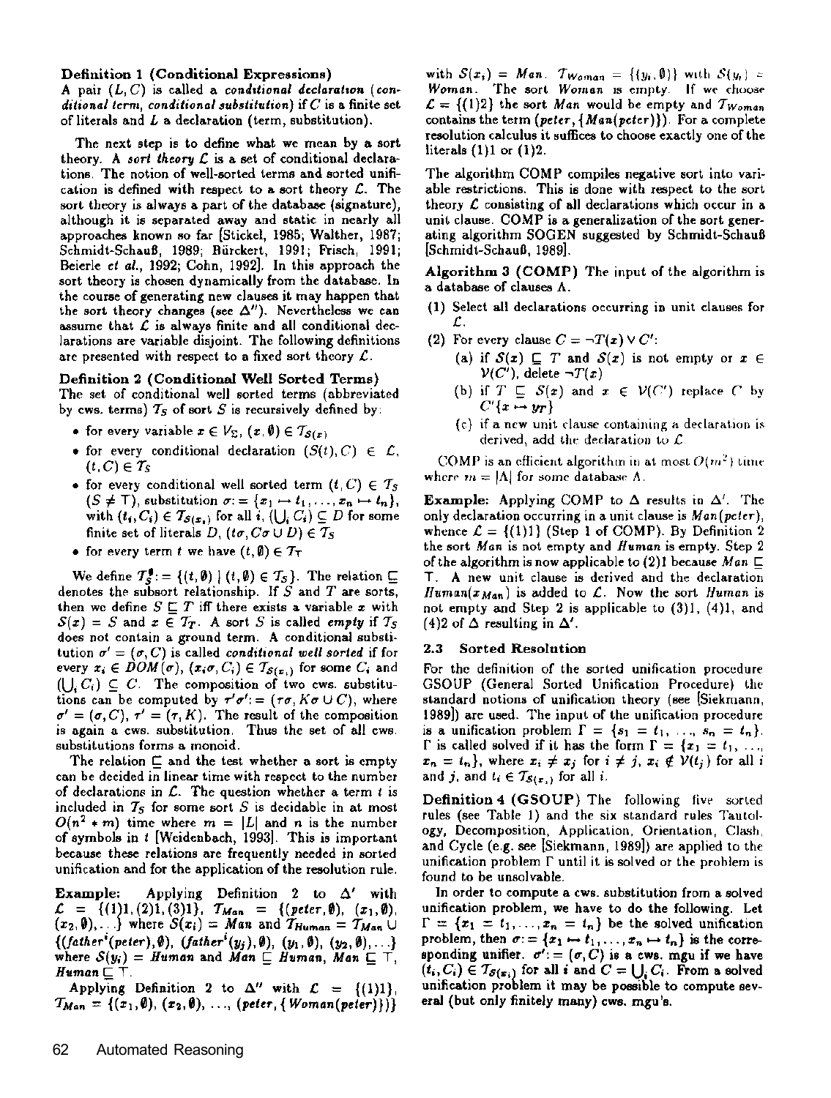#### Definition 1 (Conditional Expressions)

A pair  $(L, C)$  is called a conditional declaration (conditional term, conditional substitution) if  $C$  is a finite set of literals and  $L$  a declaration (term, substitution).

The next step is to define what we mean by a sort theory. A sort theory  $\mathcal L$  is a set of conditional declarations. The notion of well-sorted terms and sorted unification is defined with respect to a sort theory  $\mathcal{L}$ . The sort theory is always a part of the database (signature). although it is separated away and static in nearly all approaches known so far [Stickel, 1985; Walther, 1987; Schmidt-Schauß, 1989; Bürckert, 1991; Frisch, 1991; Beierle et al., 1992; Cohn, 1992]. In this approach the sort theory is chosen dynamically from the database. In the course of generating new clauses it may happen that the sort theory changes (see  $\Delta$ "). Nevertheless we can assume that  $\mathcal L$  is always finite and all conditional declarations are variable disjoint. The following definitions are presented with respect to a fixed sort theory  $\mathcal{L}$ .

#### Definition 2 (Conditional Well Sorted Terms)

The set of conditional well sorted terms (abbreviated by cws. terms)  $T_S$  of sort S is recursively defined by:

- for every variable  $x \in V_{\Sigma}$ ,  $(x, \emptyset) \in T_{S(x)}$
- for every conditional declaration  $(S(t), C) \in \mathcal{L}$ ,  $(t, C) \in T_S$
- for every conditional well sorted term  $(t, C) \in T_S$  $(S \neq \top)$ , substitution  $\sigma = \{x_1 \mapsto t_1, \ldots, x_n \mapsto t_n\},\$ with  $(t_i, C_i) \in T_{S(x_i)}$  for all  $i, (\bigcup_i C_i) \subseteq D$  for some finite set of literals D,  $(t\sigma, C\sigma \cup D) \in T_S$
- for every term t we have  $(t, \emptyset) \in T_T$

We define  $T_s^{\bullet} := \{(t, \emptyset) | (t, \emptyset) \in T_s\}$ . The relation  $\sqsubseteq$ denotes the subsort relationship. If  $S$  and  $T$  are sorts, then we define  $S \sqsubseteq T$  iff there exists a variable x with  $S(x) = S$  and  $x \in T_T$ . A sort S is called *empty* if  $T_S$ does not contain a ground term. A conditional substitution  $\sigma' = (\sigma, C)$  is called *conditional well sorted* if for every  $x_i \in DOM(\sigma)$ ,  $(x_i\sigma,C_i) \in T_{S(x_i)}$  for some  $C_i$  and  $(1, C_i) \subseteq C$ . The composition of two cws. substitutions can be computed by  $\tau'\sigma' = (\tau\sigma, K\sigma \cup C)$ , where  $\sigma' = (\sigma, C), \tau' = (\tau, K)$ . The result of the composition is again a cws. substitution. Thus the set of all cws. substitutions forms a monoid.

The relation  $\sqsubseteq$  and the test whether a sort is empty can be decided in linear time with respect to the number of declarations in  $\mathcal{L}$ . The question whether a term  $t$  is included in  $T<sub>S</sub>$  for some sort S is decidable in at most  $O(n^2 * m)$  time where  $m = |L|$  and n is the number of symbols in t [Weidenbach, 1993]. This is important because these relations are frequently needed in sorted unification and for the application of the resolution rule.

Example: Applying Definition 2 to  $\Delta'$  with  $\mathcal{L} = \{ (1)1, (2)1, (3)1 \}$ ,  $T_{Man} = \{ (peter, \emptyset), (x_1, \emptyset), (x_2, \emptyset), \dots \}$  where  $S(x_i) = Man$  and  $T_{Human} = T_{Man} \cup$ {(father<sup>i</sup>(peter),  $\emptyset$ ), (father<sup>i</sup>(y<sub>j</sub>),  $\emptyset$ ), (y<sub>1</sub>,  $\emptyset$ ), (y<sub>2</sub>,  $\emptyset$ ), ...}<br>where  $S(y_i) = Human$  and *Man*  $\sqsubseteq$  *Human*, *Man*  $\sqsubseteq$  T,  $H$ uman $\sqsubseteq$  T.

Applying Definition 2 to  $\Delta^n$  with  $\mathcal{L} = \{(1)1\}$ .  $T_{Man} = \{(x_1, \emptyset), (x_2, \emptyset), ..., (peter, \{Woman(peter)\})\}$ 

with  $S(x_i) = Man$ .  $Tw_{nmn} = \{(y_i, \emptyset)\}\$  with  $S(y_i) =$ Woman. The sort Woman is empty. If we choose  $\mathcal{L} = \{(1,2)\}$  the sort Man would be empty and  $\mathcal{T}_{Woman}$ contains the term (peter, {Man(peter)}). For a complete resolution calculus it suffices to choose exactly one of the literals  $(1)1$  or  $(1)2$ .

The algorithm COMP compiles negative sort into variable restrictions. This is done with respect to the sort theory  $\mathcal L$  consisting of all declarations which occur in a unit clause. COMP is a generalization of the sort generating algorithm SOGEN suggested by Schmidt-Schauß [Schmidt-Schauß, 1989].

Algorithm 3 (COMP) The input of the algorithm is a database of clauses A.

- (1) Select all declarations occurring in unit clauses for £.
- (2) For every clause  $C = \neg T(x) \vee C'$ :
	- (a) if  $S(x) \sqsubseteq T$  and  $S(x)$  is not empty or  $x \in$  $\mathcal{V}(C')$ , delete  $\neg T(x)$
	- (b) if  $T \subseteq S(x)$  and  $x \in V(C')$  replace C by  $C'\{x \mapsto y_T\}$
	- (c) if a new unit clause containing a declaration is derived, add the declaration to  $\mathcal{L}$ .

COMP is an efficient algorithm in at most  $O(m^2)$  time where  $m = |\Lambda|$  for some database  $\Lambda$ .

**Example:** Applying COMP to  $\Delta$  results in  $\Delta'$ . The only declaration occurring in a unit clause is Man(peter). whence  $\mathcal{L} = \{(1)1\}$  (Step 1 of COMP). By Definition 2 the sort Man is not empty and Human is empty. Step 2 of the algorithm is now applicable to (2)1 because Man  $\Box$ T. A new unit clause is derived and the declaration Human( $x_{Man}$ ) is added to  $\mathcal{L}$ . Now the sort Human is not empty and Step 2 is applicable to (3)1, (4)1, and (4)2 of  $\Delta$  resulting in  $\Delta'$ .

#### $2.3$ **Sorted Resolution**

For the definition of the sorted unification procedure GSOUP (General Sorted Unification Procedure) the standard notions of unification theory (see [Siekmann, 1989]) are used. The input of the unification procedure is a unification problem  $\Gamma = \{s_1 = t_1, ..., s_n = t_n\}.$  $\Gamma$  is called solved if it has the form  $\Gamma = \{x_1 = t_1, \ldots,$  $x_n = t_n$ , where  $x_i \neq x_j$  for  $i \neq j$ ,  $x_i \notin V(t_j)$  for all i and j, and  $t_i \in \mathcal{T}_{\mathcal{S}(x_i)}$  for all i.

Definition 4 (GSOUP) The following five sorted rules (see Table 1) and the six standard rules Tautology, Decomposition, Application, Orientation, Clash, and Cycle (e.g. see [Siekmann, 1989]) are applied to the unification problem  $\Gamma$  until it is solved or the problem is found to be unsolvable.

In order to compute a cws. substitution from a solved unification problem, we have to do the following. Let  $\Gamma = \{x_1 = t_1, \ldots, x_n = t_n\}$  be the solved unification problem, then  $\sigma = \{x_1 \mapsto t_1, \ldots, x_n \mapsto t_n\}$  is the corresponding unifier.  $\sigma' := (\sigma, C)$  is a cws. mgu if we have  $(t_i, C_i) \in \mathcal{T}_{\mathcal{S}(x_i)}$  for all i and  $C = \bigcup_i C_i$ . From a solved unification problem it may be possible to compute several (but only finitely many) cws. mgu's.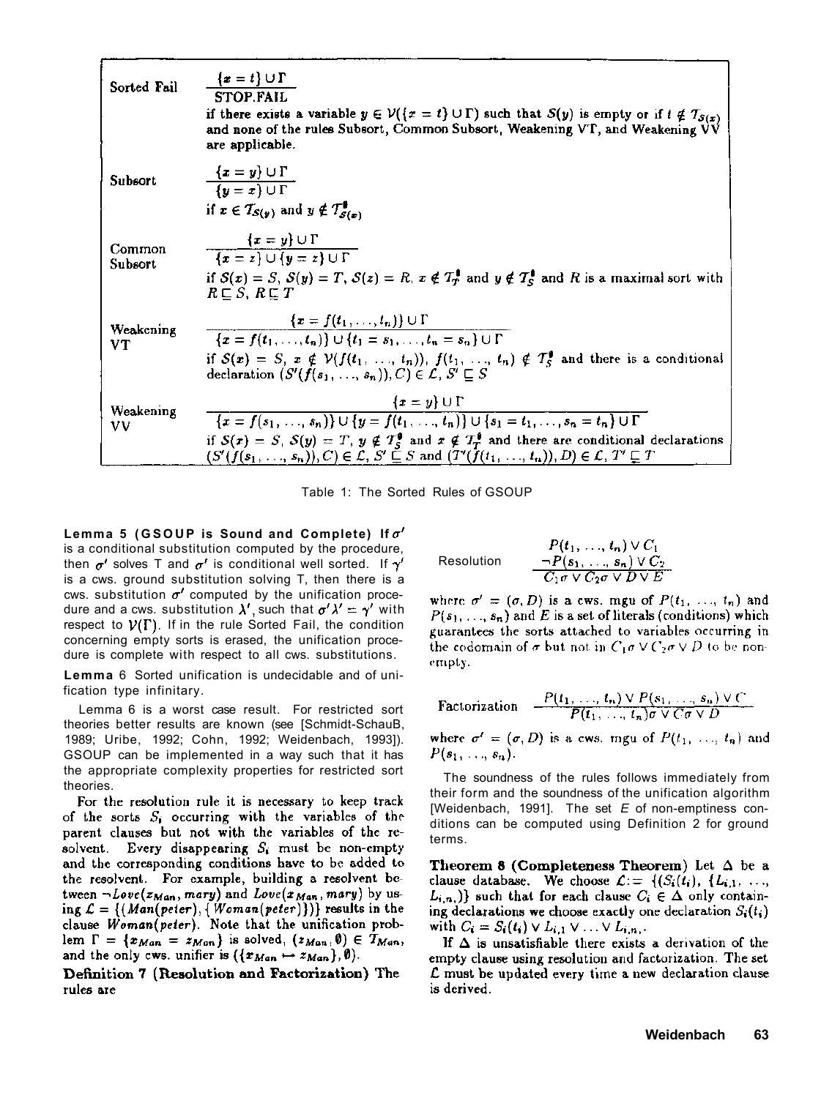| Sorted Fail       | $\{x=t\} \cup \Gamma$<br><b>STOP.FAIL</b><br>if there exists a variable $y \in V({x = t} \cup \Gamma)$ such that $S(y)$ is empty or if $t \notin T_{S(x)}$<br>and none of the rules Subsort, Common Subsort, Weakening VT, and Weakening VV<br>are applicable.                                                                                                                              |
|-------------------|---------------------------------------------------------------------------------------------------------------------------------------------------------------------------------------------------------------------------------------------------------------------------------------------------------------------------------------------------------------------------------------------|
| Subsort           | $\{x=y\}\cup \Gamma$<br>$\overline{\{u=x\}\cup\Gamma}$<br>if $x \in T_{S(y)}$ and $y \notin T_{S(x)}^{\phi}$                                                                                                                                                                                                                                                                                |
| Common<br>Subsort | $\{x=y\}\cup\Gamma$<br>$\overline{\{x = z\} \cup \{y = z\} \cup \Gamma}$<br>if $S(x) = S$ , $S(y) = T$ , $S(z) = R$ , $x \notin T_T^{\{ \!\!\!\ p \ \!\!\!\}}$ and $y \notin T_S^{\{ \!\!\!\ p \ \!\!\!\}}$ and R is a maximal sort with<br>$R \sqsubset S$ , $R \sqsubset T$                                                                                                               |
| Weakening<br>VТ   | $\{x = f(t_1, \ldots, t_n)\} \cup \Gamma$<br>$\{x = f(t_1, , t_n)\} \cup \{t_1 = s_1, , t_n = s_n\} \cup \Gamma$<br>if $S(x) = S$ , $x \notin V(f(t_1, , t_n))$ , $f(t_1, , t_n) \notin T_s^{\phi}$ and there is a conditional<br>declaration $(S'(f(s_1, , s_n)), C) \in \mathcal{L}, S' \sqsubset S$                                                                                      |
| Weakening<br>vv   | ${x = y} \cup \Gamma$<br>$\{x = f(s_1, \ldots, s_n)\} \cup \{y = f(t_1, \ldots, t_n)\} \cup \{s_1 = t_1, \ldots, s_n = t_n\} \cup \Gamma$<br>if $S(x) = S$ , $S(y) = T$ , $y \notin T_s^0$ and $x \notin T_T^0$ and there are conditional declarations<br>$(S'(f(s_1, \ldots, s_n)), C) \in \mathcal{L}, S' \subseteq S$ and $(T'(f(t_1, \ldots, t_n)), D) \in \mathcal{L}, T' \subseteq T$ |

Table 1: The Sorted Rules of GSOUP

Lemma 5 (GSOUP is Sound and Complete) If  $\sigma'$ is a conditional substitution computed by the procedure, then  $\sigma'$  solves T and  $\sigma'$  is conditional well sorted. If  $\gamma$ is a cws. ground substitution solving T, then there is a cws. substitution  $\sigma'$  computed by the unification procedure and a cws. substitution  $\lambda'$ , such that  $\sigma' \lambda' = \gamma'$  with respect to  $V(\Gamma)$ . If in the rule Sorted Fail, the condition concerning empty sorts is erased, the unification procedure is complete with respect to all cws. substitutions.

**Lemma** 6 Sorted unification is undecidable and of unification type infinitary.

Lemma 6 is a worst case result. For restricted sort theories better results are known (see [Schmidt-SchauB, 1989; Uribe, 1992; Cohn, 1992; Weidenbach, 1993]). GSOUP can be implemented in a way such that it has the appropriate complexity properties for restricted sort theories.

For the resolution rule it is necessary to keep track of the sorts  $S_i$  occurring with the variables of the parent clauses but not with the variables of the resolvent. Every disappearing  $S_i$  must be non-empty and the corresponding conditions have to be added to the resolvent. For example, building a resolvent between  $\neg Love(z_{Man}, mary)$  and  $Love(x_{Man}, mary)$  by using  $\mathcal{L} = \{ (Man(peter), \{Woman(peter)\}) \}$  results in the clause Woman(peter). Note that the unification problem  $\Gamma = \{x_{Man} = x_{Man}\}$  is solved,  $(z_{Man}, \emptyset) \in T_{Man}$ , and the only cws. unifier is  $({x_{Man} \mapsto x_{Man}})$ ,  $\emptyset$ ).

Definition 7 (Resolution and Factorization) The rules are

$$
\text{Resolution} \qquad \begin{array}{c} P(t_1, \ldots, t_n) \vee C_1 \\ \neg P(s_1, \ldots, s_n) \vee C_2 \\ \hline C_1 \sigma \vee C_2 \sigma \vee D \vee E \end{array}
$$

where  $\sigma' = (\sigma, D)$  is a cws. mgu of  $P(t_1, ..., t_n)$  and  $P(s_1, ..., s_n)$  and E is a set of literals (conditions) which guarantees the sorts attached to variables occurring in the codomain of  $\sigma$  but not in  $C_1 \sigma \vee C_2 \sigma \vee D$  to be nonempty.

Factorization 
$$
\frac{P(t_1, \ldots, t_n) \vee P(s_1, \ldots, s_n) \vee C}{P(t_1, \ldots, t_n) \sigma \vee C \sigma \vee D}
$$

where  $\sigma' = (\sigma, D)$  is a cws. mgu of  $P(t_1, ..., t_n)$  and  $P(s_1, \ldots, s_n).$ 

The soundness of the rules follows immediately from their form and the soundness of the unification algorithm [Weidenbach, 1991]. The set *E* of non-emptiness conditions can be computed using Definition 2 for ground terms.

Theorem 8 (Completeness Theorem) Let  $\Delta$  be a clause database. We choose  $\mathcal{L} = \{ (S_i(t_i), (L_{i,1}, \ldots,$  $L_{i,n_i}$ } such that for each clause  $C_i \in \Delta$  only containing declarations we choose exactly one declaration  $S_i(t_i)$ with  $C_i = S_i(t_i) \vee L_{i,1} \vee ... \vee L_{i,n_i}$ .

If  $\Delta$  is unsatisfiable there exists a derivation of the empty clause using resolution and factorization. The set L must be updated every time a new declaration clause is derived.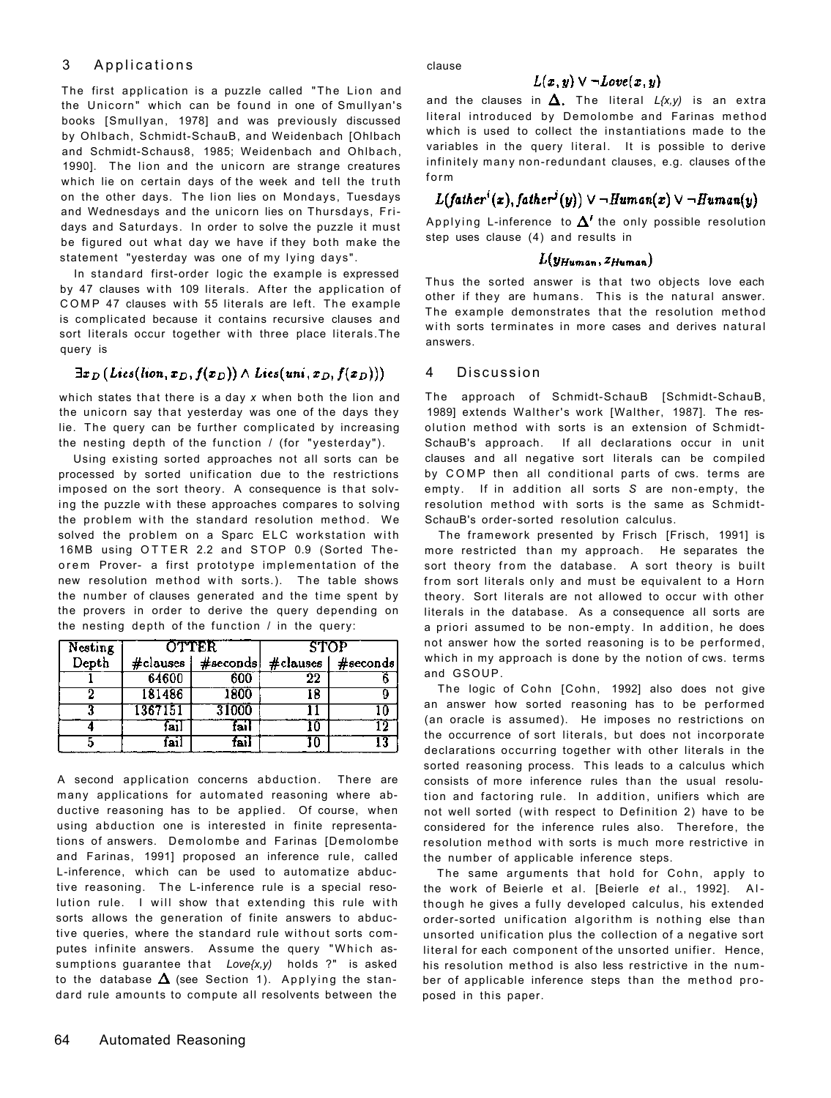### 3 Applications

The first application is a puzzle called "The Lion and the Unicorn" which can be found in one of Smullyan's books [Smullyan, 1978] and was previously discussed by Ohlbach, Schmidt-SchauB, and Weidenbach [Ohlbach and Schmidt-Schaus8, 1985; Weidenbach and Ohlbach, 1990]. The lion and the unicorn are strange creatures which lie on certain days of the week and tell the truth on the other days. The lion lies on Mondays, Tuesdays and Wednesdays and the unicorn lies on Thursdays, Fridays and Saturdays. In order to solve the puzzle it must be figured out what day we have if they both make the statement "yesterday was one of my lying days".

In standard first-order logic the example is expressed by 47 clauses with 109 literals. After the application of COMP 47 clauses with 55 literals are left. The example is complicated because it contains recursive clauses and sort literals occur together with three place literals. The query is

### $\exists x_D \left( \text{Lies}(\text{lion}, x_D, f(x_D)) \wedge \text{Lies}(\text{uni}, x_D, f(x_D)) \right)$

which states that there is a day *x* when both the lion and the unicorn say that yesterday was one of the days they lie. The query can be further complicated by increasing the nesting depth of the function / (for "yesterday").

Using existing sorted approaches not all sorts can be processed by sorted unification due to the restrictions imposed on the sort theory. A consequence is that solving the puzzle with these approaches compares to solving the problem with the standard resolution method. We solved the problem on a Sparc ELC workstation with 16MB using OTTER 2.2 and STOP 0.9 (Sorted Theorem Prover- a first prototype implementation of the new resolution method with sorts.). The table shows the number of clauses generated and the time spent by the provers in order to derive the query depending on the nesting depth of the function / in the query:

| Nesting | <b>OTTER</b> |             | <b>STOP</b> |             |
|---------|--------------|-------------|-------------|-------------|
| Depth   | $#$ clauses  | $#$ seconds | #clauses    | $#$ seconds |
|         | 64600        | 600         | 22          |             |
|         | 181486       | 1800        | 18          |             |
|         | 1367151      | 31000       |             |             |
|         | fail         | fail        |             |             |
|         | 21           | ъi          |             | 13          |

A second application concerns abduction. There are many applications for automated reasoning where abductive reasoning has to be applied. Of course, when using abduction one is interested in finite representations of answers. Demolombe and Farinas [Demolombe and Farinas, 1991] proposed an inference rule, called L-inference, which can be used to automatize abductive reasoning. The L-inference rule is a special resolution rule. I will show that extending this rule with sorts allows the generation of finite answers to abductive queries, where the standard rule without sorts computes infinite answers. Assume the query "Which assumptions guarantee that *Love{x,y)* holds ?" is asked to the database  $\Delta$  (see Section 1). Applying the standard rule amounts to compute all resolvents between the

clause

### $L(x, y) \vee \neg Love(x, y)$

and the clauses in  $\Delta$ . The literal  $L(x,y)$  is an extra literal introduced by Demolombe and Farinas method which is used to collect the instantiations made to the variables in the query literal. It is possible to derive infinitely many non-redundant clauses, e.g. clauses of the  $f_0$ rm

## $L(father^i(x), father^j(y)) \vee \neg Human(x) \vee \neg Human(y)$

Applying L-inference to  $\boldsymbol{\Delta^{\prime}}$  the only possible resolution step uses clause (4) and results in

#### $L(y_{Human}, z_{Human})$

Thus the sorted answer is that two objects love each other if they are humans. This is the natural answer. The example demonstrates that the resolution method with sorts terminates in more cases and derives natural answers.

#### 4 Discussion

The approach of Schmidt-SchauB [Schmidt-SchauB, 1989] extends Walther's work [Walther, 1987]. The resolution method with sorts is an extension of Schmidt-SchauB's approach. If all declarations occur in unit clauses and all negative sort literals can be compiled by COMP then all conditional parts of cws. terms are empty. If in addition all sorts *S* are non-empty, the resolution method with sorts is the same as Schmidt-SchauB's order-sorted resolution calculus.

The framework presented by Frisch [Frisch, 1991] is more restricted than my approach. He separates the sort theory from the database. A sort theory is built from sort literals only and must be equivalent to a Horn theory. Sort literals are not allowed to occur with other literals in the database. As a consequence all sorts are a priori assumed to be non-empty. In addition, he does not answer how the sorted reasoning is to be performed, which in my approach is done by the notion of cws. terms and GSOUP.

The logic of Cohn [Cohn, 1992] also does not give an answer how sorted reasoning has to be performed (an oracle is assumed). He imposes no restrictions on the occurrence of sort literals, but does not incorporate declarations occurring together with other literals in the sorted reasoning process. This leads to a calculus which consists of more inference rules than the usual resolution and factoring rule. In addition, unifiers which are not well sorted (with respect to Definition 2) have to be considered for the inference rules also. Therefore, the resolution method with sorts is much more restrictive in the number of applicable inference steps.

The same arguments that hold for Cohn, apply to the work of Beierle et al. [Beierle *et* al., 1992]. Al though he gives a fully developed calculus, his extended order-sorted unification algorithm is nothing else than unsorted unification plus the collection of a negative sort literal for each component of the unsorted unifier. Hence, his resolution method is also less restrictive in the number of applicable inference steps than the method proposed in this paper.